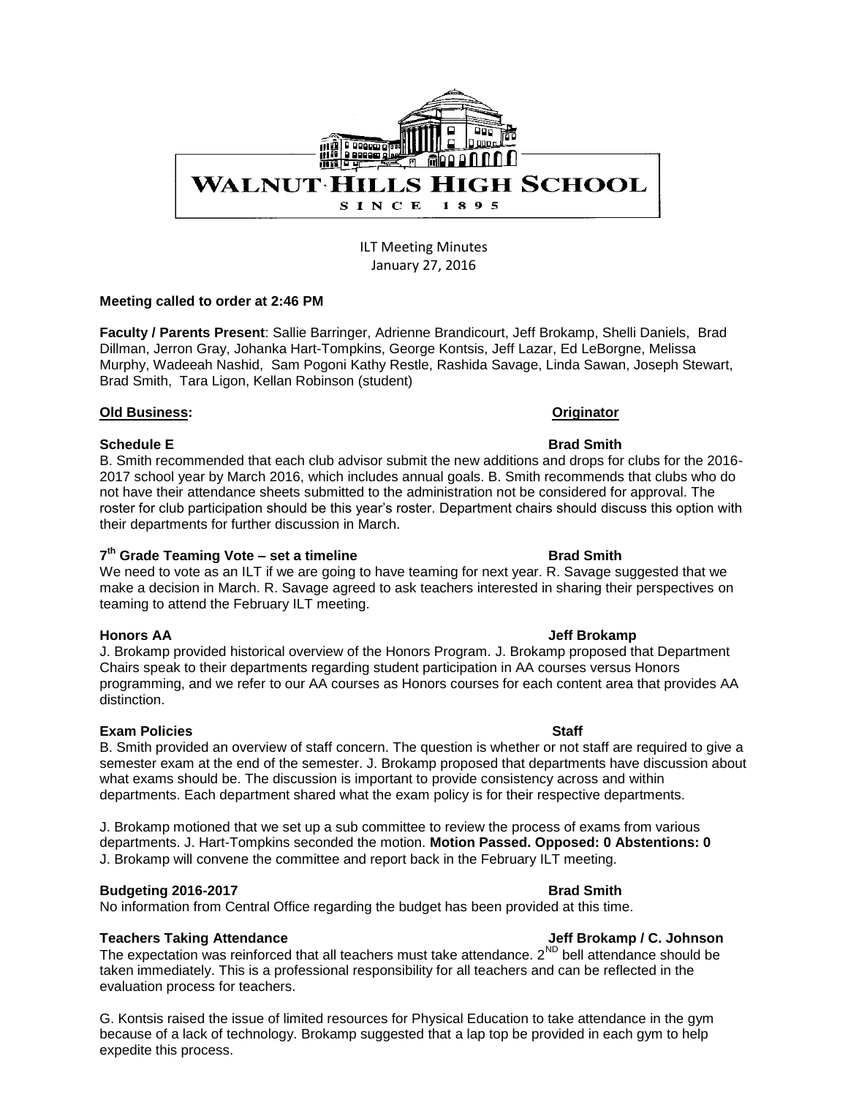

ILT Meeting Minutes January 27, 2016

### **Meeting called to order at 2:46 PM**

**Faculty / Parents Present**: Sallie Barringer, Adrienne Brandicourt, Jeff Brokamp, Shelli Daniels, Brad Dillman, Jerron Gray, Johanka Hart-Tompkins, George Kontsis, Jeff Lazar, Ed LeBorgne, Melissa Murphy, Wadeeah Nashid, Sam Pogoni Kathy Restle, Rashida Savage, Linda Sawan, Joseph Stewart, Brad Smith, Tara Ligon, Kellan Robinson (student)

### **Old Business: Originator**

### **Schedule E** Brad Smith

B. Smith recommended that each club advisor submit the new additions and drops for clubs for the 2016- 2017 school year by March 2016, which includes annual goals. B. Smith recommends that clubs who do not have their attendance sheets submitted to the administration not be considered for approval. The roster for club participation should be this year's roster. Department chairs should discuss this option with their departments for further discussion in March.

## 7<sup>th</sup> Grade Teaming Vote – set a timeline **Brad Smith**

We need to vote as an ILT if we are going to have teaming for next year. R. Savage suggested that we make a decision in March. R. Savage agreed to ask teachers interested in sharing their perspectives on teaming to attend the February ILT meeting.

J. Brokamp provided historical overview of the Honors Program. J. Brokamp proposed that Department Chairs speak to their departments regarding student participation in AA courses versus Honors programming, and we refer to our AA courses as Honors courses for each content area that provides AA distinction.

### **Exam Policies Staff Staff Staff Staff Staff Staff**

B. Smith provided an overview of staff concern. The question is whether or not staff are required to give a semester exam at the end of the semester. J. Brokamp proposed that departments have discussion about what exams should be. The discussion is important to provide consistency across and within departments. Each department shared what the exam policy is for their respective departments.

J. Brokamp motioned that we set up a sub committee to review the process of exams from various departments. J. Hart-Tompkins seconded the motion. **Motion Passed. Opposed: 0 Abstentions: 0** J. Brokamp will convene the committee and report back in the February ILT meeting.

### **Budgeting 2016-2017 Brad Smith**

No information from Central Office regarding the budget has been provided at this time.

## **Teachers Taking Attendance Jeff Brokamp / C. Johnson**

The expectation was reinforced that all teachers must take attendance.  $2^{ND}$  bell attendance should be taken immediately. This is a professional responsibility for all teachers and can be reflected in the evaluation process for teachers.

G. Kontsis raised the issue of limited resources for Physical Education to take attendance in the gym because of a lack of technology. Brokamp suggested that a lap top be provided in each gym to help expedite this process.

### **Honors AA** Jeff Brokamp